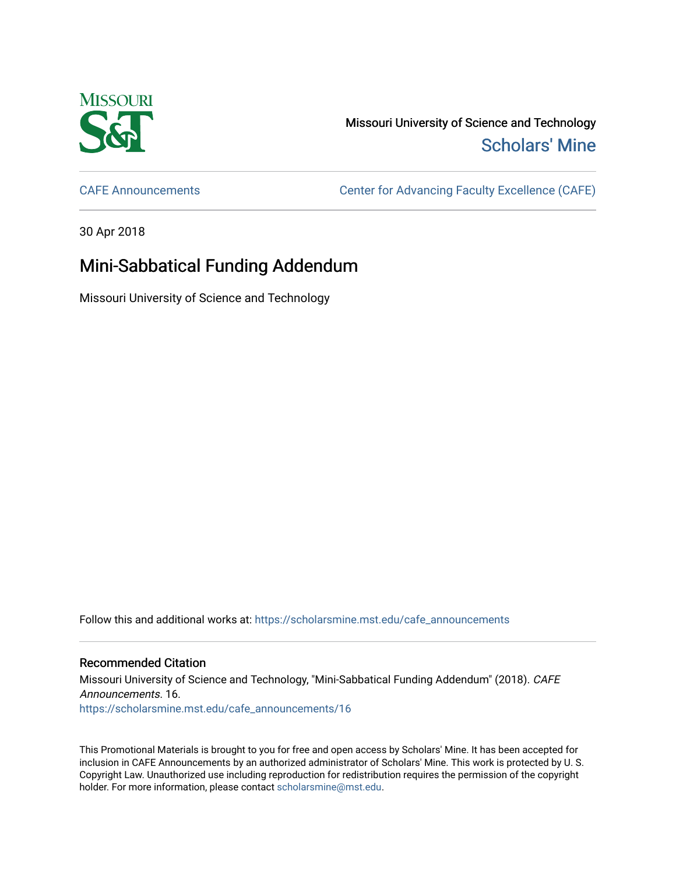

Missouri University of Science and Technology [Scholars' Mine](https://scholarsmine.mst.edu/) 

[CAFE Announcements](https://scholarsmine.mst.edu/cafe_announcements) [Center for Advancing Faculty Excellence \(CAFE\)](https://scholarsmine.mst.edu/cafe) 

30 Apr 2018

## Mini-Sabbatical Funding Addendum

Missouri University of Science and Technology

Follow this and additional works at: [https://scholarsmine.mst.edu/cafe\\_announcements](https://scholarsmine.mst.edu/cafe_announcements?utm_source=scholarsmine.mst.edu%2Fcafe_announcements%2F16&utm_medium=PDF&utm_campaign=PDFCoverPages) 

## Recommended Citation

Missouri University of Science and Technology, "Mini-Sabbatical Funding Addendum" (2018). CAFE Announcements. 16. [https://scholarsmine.mst.edu/cafe\\_announcements/16](https://scholarsmine.mst.edu/cafe_announcements/16?utm_source=scholarsmine.mst.edu%2Fcafe_announcements%2F16&utm_medium=PDF&utm_campaign=PDFCoverPages)

This Promotional Materials is brought to you for free and open access by Scholars' Mine. It has been accepted for inclusion in CAFE Announcements by an authorized administrator of Scholars' Mine. This work is protected by U. S. Copyright Law. Unauthorized use including reproduction for redistribution requires the permission of the copyright holder. For more information, please contact [scholarsmine@mst.edu.](mailto:scholarsmine@mst.edu)